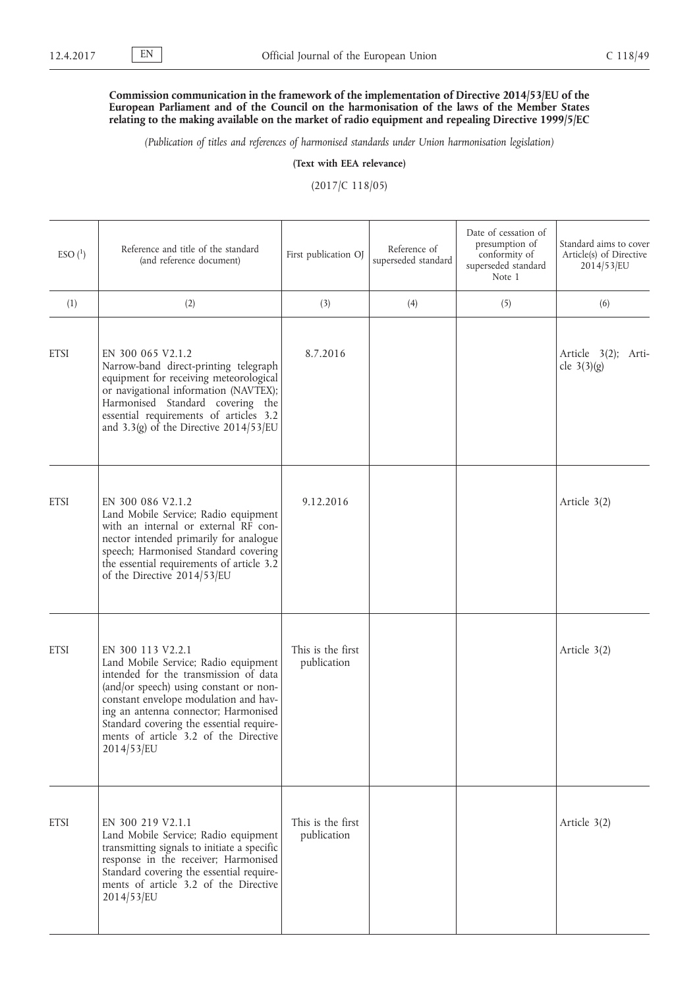## **Commission communication in the framework of the implementation of Directive 2014/53/EU of the European Parliament and of the Council on the harmonisation of the laws of the Member States relating to the making available on the market of radio equipment and repealing Directive 1999/5/EC**

*(Publication of titles and references of harmonised standards under Union harmonisation legislation)*

**(Text with EEA relevance)**

(2017/C 118/05)

| $ESO(^{1})$ | Reference and title of the standard<br>(and reference document)                                                                                                                                                                                                                                                                     | First publication OJ             | Reference of<br>superseded standard | Date of cessation of<br>presumption of<br>conformity of<br>superseded standard<br>Note 1 | Standard aims to cover<br>Article(s) of Directive<br>$2014/53$ /EU |
|-------------|-------------------------------------------------------------------------------------------------------------------------------------------------------------------------------------------------------------------------------------------------------------------------------------------------------------------------------------|----------------------------------|-------------------------------------|------------------------------------------------------------------------------------------|--------------------------------------------------------------------|
| (1)         | (2)                                                                                                                                                                                                                                                                                                                                 | (3)                              | (4)                                 | (5)                                                                                      | (6)                                                                |
| <b>ETSI</b> | EN 300 065 V2.1.2<br>Narrow-band direct-printing telegraph<br>equipment for receiving meteorological<br>or navigational information (NAVTEX);<br>Harmonised Standard covering the<br>essential requirements of articles 3.2<br>and 3.3(g) of the Directive $2014/53/EU$                                                             | 8.7.2016                         |                                     |                                                                                          | Article 3(2); Arti-<br>cle $3(3)(g)$                               |
| <b>ETSI</b> | EN 300 086 V2.1.2<br>Land Mobile Service; Radio equipment<br>with an internal or external RF con-<br>nector intended primarily for analogue<br>speech; Harmonised Standard covering<br>the essential requirements of article 3.2<br>of the Directive 2014/53/EU                                                                     | 9.12.2016                        |                                     |                                                                                          | Article 3(2)                                                       |
| <b>ETSI</b> | EN 300 113 V2.2.1<br>Land Mobile Service; Radio equipment<br>intended for the transmission of data<br>(and/or speech) using constant or non-<br>constant envelope modulation and hav-<br>ing an antenna connector; Harmonised<br>Standard covering the essential require-<br>ments of article 3.2 of the Directive<br>$2014/53$ /EU | This is the first<br>publication |                                     |                                                                                          | Article 3(2)                                                       |
| <b>ETSI</b> | EN 300 219 V2.1.1<br>Land Mobile Service; Radio equipment<br>transmitting signals to initiate a specific<br>response in the receiver; Harmonised<br>Standard covering the essential require-<br>ments of article 3.2 of the Directive<br>2014/53/EU                                                                                 | This is the first<br>publication |                                     |                                                                                          | Article 3(2)                                                       |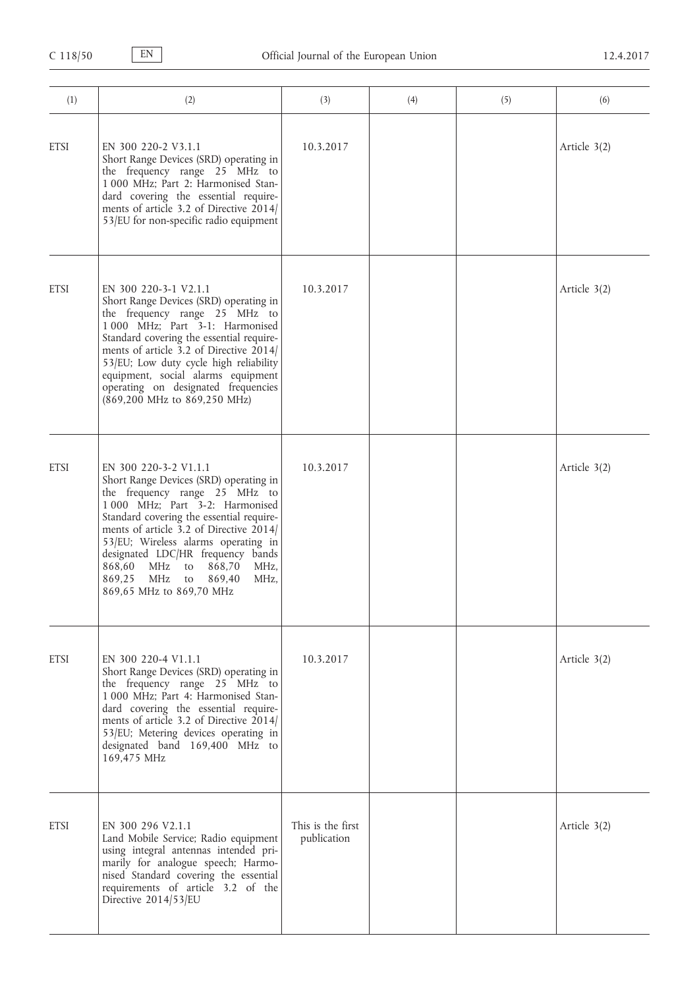| (1)         | (2)                                                                                                                                                                                                                                                                                                                                                                                                                  | (3)                              | (4) | (5) | (6)          |
|-------------|----------------------------------------------------------------------------------------------------------------------------------------------------------------------------------------------------------------------------------------------------------------------------------------------------------------------------------------------------------------------------------------------------------------------|----------------------------------|-----|-----|--------------|
| <b>ETSI</b> | EN 300 220-2 V3.1.1<br>Short Range Devices (SRD) operating in<br>the frequency range 25 MHz to<br>1 000 MHz; Part 2: Harmonised Stan-<br>dard covering the essential require-<br>ments of article 3.2 of Directive 2014/<br>53/EU for non-specific radio equipment                                                                                                                                                   | 10.3.2017                        |     |     | Article 3(2) |
| <b>ETSI</b> | EN 300 220-3-1 V2.1.1<br>Short Range Devices (SRD) operating in<br>the frequency range 25 MHz to<br>1 000 MHz; Part 3-1: Harmonised<br>Standard covering the essential require-<br>ments of article 3.2 of Directive 2014/<br>53/EU; Low duty cycle high reliability<br>equipment, social alarms equipment<br>operating on designated frequencies<br>(869,200 MHz to 869,250 MHz)                                    | 10.3.2017                        |     |     | Article 3(2) |
| <b>ETSI</b> | EN 300 220-3-2 V1.1.1<br>Short Range Devices (SRD) operating in<br>the frequency range 25 MHz to<br>1 000 MHz; Part 3-2: Harmonised<br>Standard covering the essential require-<br>ments of article 3.2 of Directive 2014/<br>53/EU; Wireless alarms operating in<br>designated LDC/HR frequency bands<br>868,60<br>MHz<br>868,70<br>MHz,<br>to<br>869,25<br>MHz<br>869,40<br>MHz,<br>to<br>869,65 MHz to 869,70 MHz | 10.3.2017                        |     |     | Article 3(2) |
| <b>ETSI</b> | EN 300 220-4 V1.1.1<br>Short Range Devices (SRD) operating in<br>the frequency range 25 MHz to<br>1 000 MHz; Part 4: Harmonised Stan-<br>dard covering the essential require-<br>ments of article 3.2 of Directive 2014/<br>53/EU; Metering devices operating in<br>designated band 169,400 MHz to<br>169,475 MHz                                                                                                    | 10.3.2017                        |     |     | Article 3(2) |
| <b>ETSI</b> | EN 300 296 V2.1.1<br>Land Mobile Service; Radio equipment<br>using integral antennas intended pri-<br>marily for analogue speech; Harmo-<br>nised Standard covering the essential<br>requirements of article 3.2 of the<br>Directive 2014/53/EU                                                                                                                                                                      | This is the first<br>publication |     |     | Article 3(2) |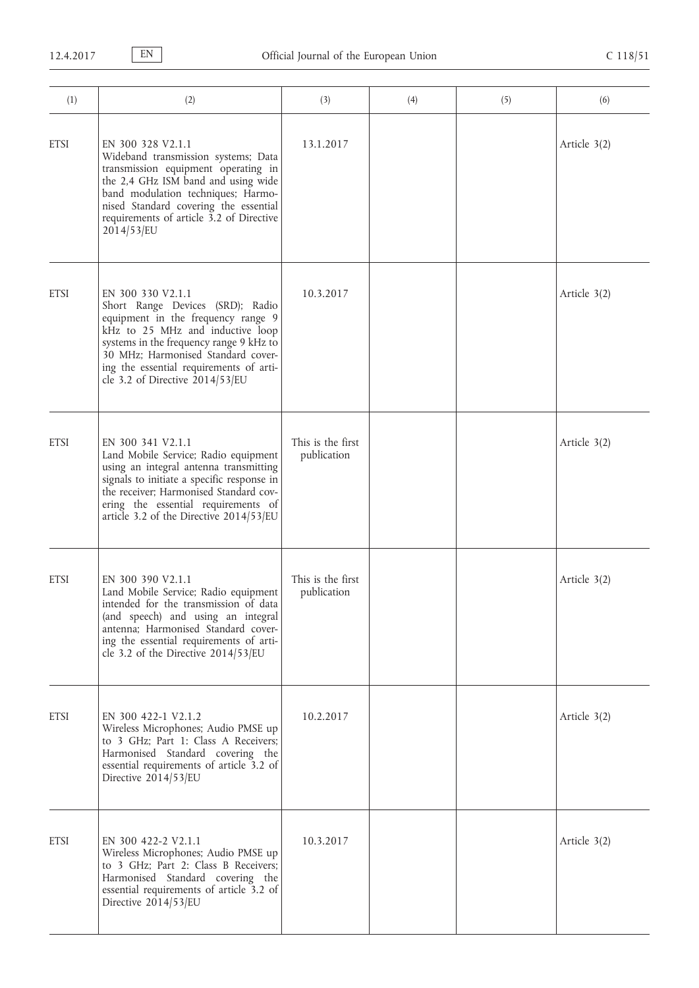| (1)         | (2)                                                                                                                                                                                                                                                                                            | (3)                              | (4) | (5) | (6)          |
|-------------|------------------------------------------------------------------------------------------------------------------------------------------------------------------------------------------------------------------------------------------------------------------------------------------------|----------------------------------|-----|-----|--------------|
| <b>ETSI</b> | EN 300 328 V2.1.1<br>Wideband transmission systems; Data<br>transmission equipment operating in<br>the 2,4 GHz ISM band and using wide<br>band modulation techniques; Harmo-<br>nised Standard covering the essential<br>requirements of article 3.2 of Directive<br>2014/53/EU                | 13.1.2017                        |     |     | Article 3(2) |
| <b>ETSI</b> | EN 300 330 V2.1.1<br>Short Range Devices (SRD); Radio<br>equipment in the frequency range 9<br>kHz to 25 MHz and inductive loop<br>systems in the frequency range 9 kHz to<br>30 MHz; Harmonised Standard cover-<br>ing the essential requirements of arti-<br>cle 3.2 of Directive 2014/53/EU | 10.3.2017                        |     |     | Article 3(2) |
| <b>ETSI</b> | EN 300 341 V2.1.1<br>Land Mobile Service; Radio equipment<br>using an integral antenna transmitting<br>signals to initiate a specific response in<br>the receiver; Harmonised Standard cov-<br>ering the essential requirements of<br>article 3.2 of the Directive 2014/53/EU                  | This is the first<br>publication |     |     | Article 3(2) |
| <b>ETSI</b> | EN 300 390 V2.1.1<br>Land Mobile Service; Radio equipment<br>intended for the transmission of data<br>(and speech) and using an integral<br>antenna; Harmonised Standard cover-<br>ing the essential requirements of arti-<br>cle 3.2 of the Directive 2014/53/EU                              | This is the first<br>publication |     |     | Article 3(2) |
| <b>ETSI</b> | EN 300 422-1 V2.1.2<br>Wireless Microphones; Audio PMSE up<br>to 3 GHz; Part 1: Class A Receivers;<br>Harmonised Standard covering the<br>essential requirements of article 3.2 of<br>Directive 2014/53/EU                                                                                     | 10.2.2017                        |     |     | Article 3(2) |
| <b>ETSI</b> | EN 300 422-2 V2.1.1<br>Wireless Microphones; Audio PMSE up<br>to 3 GHz; Part 2: Class B Receivers;<br>Harmonised Standard covering the<br>essential requirements of article 3.2 of<br>Directive 2014/53/EU                                                                                     | 10.3.2017                        |     |     | Article 3(2) |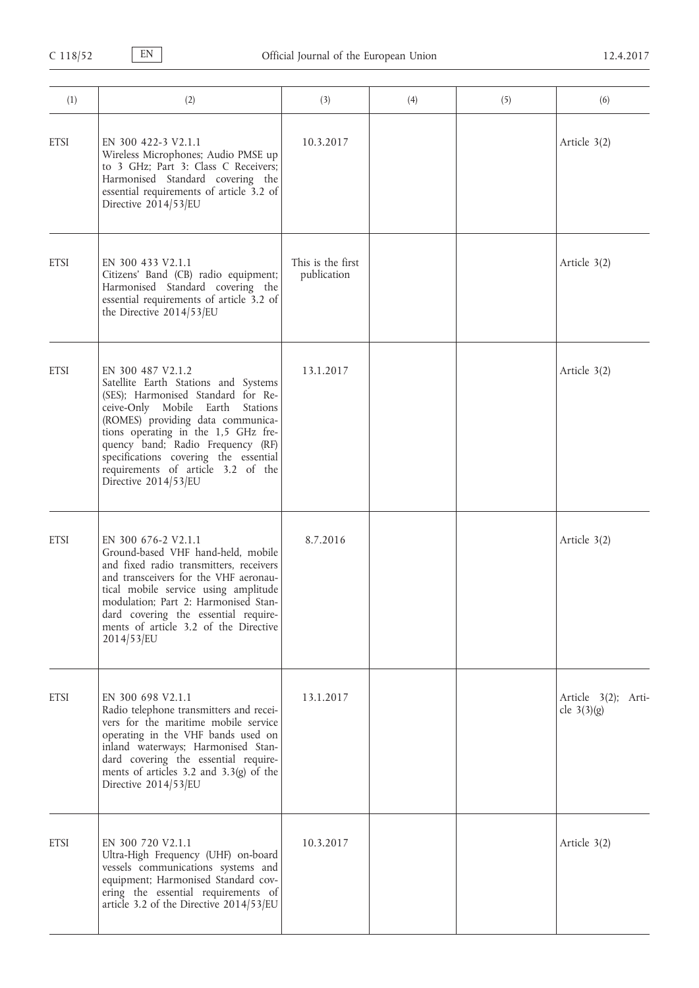| (1)         | (2)                                                                                                                                                                                                                                                                                                                                                         | (3)                              | (4) | (5) | (6)                                  |
|-------------|-------------------------------------------------------------------------------------------------------------------------------------------------------------------------------------------------------------------------------------------------------------------------------------------------------------------------------------------------------------|----------------------------------|-----|-----|--------------------------------------|
| <b>ETSI</b> | EN 300 422-3 V2.1.1<br>Wireless Microphones; Audio PMSE up<br>to 3 GHz; Part 3: Class C Receivers;<br>Harmonised Standard covering the<br>essential requirements of article 3.2 of<br>Directive 2014/53/EU                                                                                                                                                  | 10.3.2017                        |     |     | Article 3(2)                         |
| <b>ETSI</b> | EN 300 433 V2.1.1<br>Citizens' Band (CB) radio equipment;<br>Harmonised Standard covering the<br>essential requirements of article 3.2 of<br>the Directive 2014/53/EU                                                                                                                                                                                       | This is the first<br>publication |     |     | Article 3(2)                         |
| <b>ETSI</b> | EN 300 487 V2.1.2<br>Satellite Earth Stations and Systems<br>(SES); Harmonised Standard for Re-<br>ceive-Only Mobile Earth Stations<br>(ROMES) providing data communica-<br>tions operating in the 1,5 GHz fre-<br>quency band; Radio Frequency (RF)<br>specifications covering the essential<br>requirements of article 3.2 of the<br>Directive 2014/53/EU | 13.1.2017                        |     |     | Article 3(2)                         |
| <b>ETSI</b> | EN 300 676-2 V2.1.1<br>Ground-based VHF hand-held, mobile<br>and fixed radio transmitters, receivers<br>and transceivers for the VHF aeronau-<br>tical mobile service using amplitude<br>modulation; Part 2: Harmonised Stan-<br>dard covering the essential require-<br>ments of article 3.2 of the Directive<br>2014/53/EU                                | 8.7.2016                         |     |     | Article 3(2)                         |
| <b>ETSI</b> | EN 300 698 V2.1.1<br>Radio telephone transmitters and recei-<br>vers for the maritime mobile service<br>operating in the VHF bands used on<br>inland waterways; Harmonised Stan-<br>dard covering the essential require-<br>ments of articles $3.2$ and $3.3(g)$ of the<br>Directive 2014/53/EU                                                             | 13.1.2017                        |     |     | Article 3(2); Arti-<br>cle $3(3)(g)$ |
| <b>ETSI</b> | EN 300 720 V2.1.1<br>Ultra-High Frequency (UHF) on-board<br>vessels communications systems and<br>equipment; Harmonised Standard cov-<br>ering the essential requirements of<br>article 3.2 of the Directive 2014/53/EU                                                                                                                                     | 10.3.2017                        |     |     | Article 3(2)                         |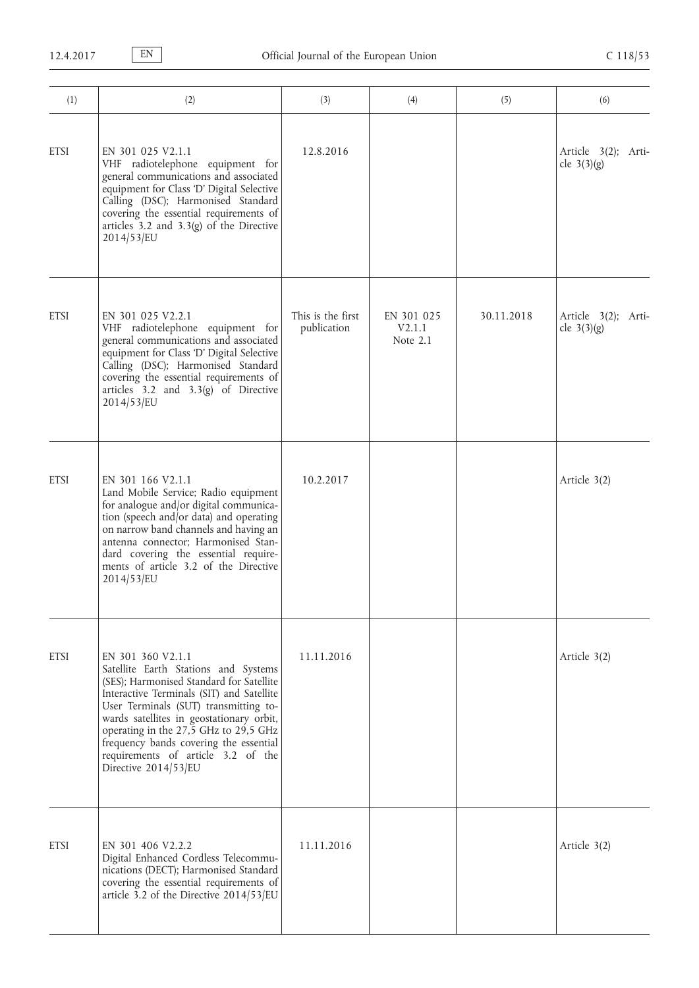| (1)         | (2)                                                                                                                                                                                                                                                                                                                                                                                      | (3)                              | (4)                              | (5)        | (6)                                  |
|-------------|------------------------------------------------------------------------------------------------------------------------------------------------------------------------------------------------------------------------------------------------------------------------------------------------------------------------------------------------------------------------------------------|----------------------------------|----------------------------------|------------|--------------------------------------|
| <b>ETSI</b> | EN 301 025 V2.1.1<br>VHF radiotelephone equipment for<br>general communications and associated<br>equipment for Class 'D' Digital Selective<br>Calling (DSC); Harmonised Standard<br>covering the essential requirements of<br>articles $3.2$ and $3.3(g)$ of the Directive<br>2014/53/EU                                                                                                | 12.8.2016                        |                                  |            | Article 3(2); Arti-<br>cle $3(3)(g)$ |
| <b>ETSI</b> | EN 301 025 V2.2.1<br>VHF radiotelephone equipment for<br>general communications and associated<br>equipment for Class 'D' Digital Selective<br>Calling (DSC); Harmonised Standard<br>covering the essential requirements of<br>articles $3.2$ and $3.3(g)$ of Directive<br>2014/53/EU                                                                                                    | This is the first<br>publication | EN 301 025<br>V2.1.1<br>Note 2.1 | 30.11.2018 | Article 3(2); Arti-<br>cle $3(3)(g)$ |
| <b>ETSI</b> | EN 301 166 V2.1.1<br>Land Mobile Service; Radio equipment<br>for analogue and/or digital communica-<br>tion (speech and/or data) and operating<br>on narrow band channels and having an<br>antenna connector; Harmonised Stan-<br>dard covering the essential require-<br>ments of article 3.2 of the Directive<br>2014/53/EU                                                            | 10.2.2017                        |                                  |            | Article 3(2)                         |
| <b>ETSI</b> | EN 301 360 V2.1.1<br>Satellite Earth Stations and Systems<br>(SES); Harmonised Standard for Satellite<br>Interactive Terminals (SIT) and Satellite<br>User Terminals (SUT) transmitting to-<br>wards satellites in geostationary orbit,<br>operating in the 27,5 GHz to 29,5 GHz<br>frequency bands covering the essential<br>requirements of article 3.2 of the<br>Directive 2014/53/EU | 11.11.2016                       |                                  |            | Article 3(2)                         |
| <b>ETSI</b> | EN 301 406 V2.2.2<br>Digital Enhanced Cordless Telecommu-<br>nications (DECT); Harmonised Standard<br>covering the essential requirements of<br>article 3.2 of the Directive 2014/53/EU                                                                                                                                                                                                  | 11.11.2016                       |                                  |            | Article 3(2)                         |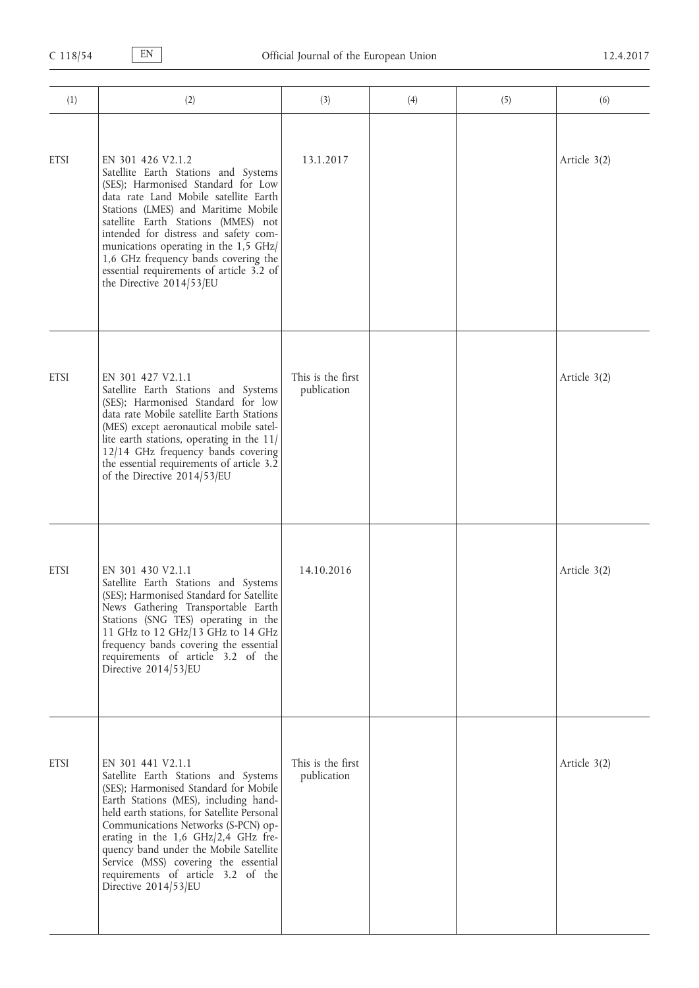| (1)         | (2)                                                                                                                                                                                                                                                                                                                                                                                                                       | (3)                              | (4) | (5) | (6)            |
|-------------|---------------------------------------------------------------------------------------------------------------------------------------------------------------------------------------------------------------------------------------------------------------------------------------------------------------------------------------------------------------------------------------------------------------------------|----------------------------------|-----|-----|----------------|
| <b>ETSI</b> | EN 301 426 V2.1.2<br>Satellite Earth Stations and Systems<br>(SES); Harmonised Standard for Low<br>data rate Land Mobile satellite Earth<br>Stations (LMES) and Maritime Mobile<br>satellite Earth Stations (MMES) not<br>intended for distress and safety com-<br>munications operating in the 1,5 GHz<br>1,6 GHz frequency bands covering the<br>essential requirements of article 3.2 of<br>the Directive $2014/53/EU$ | 13.1.2017                        |     |     | Article $3(2)$ |
| <b>ETSI</b> | EN 301 427 V2.1.1<br>Satellite Earth Stations and Systems<br>(SES); Harmonised Standard for low<br>data rate Mobile satellite Earth Stations<br>(MES) except aeronautical mobile satel-<br>lite earth stations, operating in the $11/$<br>12/14 GHz frequency bands covering<br>the essential requirements of article 3.2<br>of the Directive 2014/53/EU                                                                  | This is the first<br>publication |     |     | Article $3(2)$ |
| <b>ETSI</b> | EN 301 430 V2.1.1<br>Satellite Earth Stations and Systems<br>(SES); Harmonised Standard for Satellite<br>News Gathering Transportable Earth<br>Stations (SNG TES) operating in the<br>11 GHz to 12 GHz/13 GHz to 14 GHz<br>frequency bands covering the essential<br>requirements of article 3.2 of the<br>Directive 2014/53/EU                                                                                           | 14.10.2016                       |     |     | Article 3(2)   |
| <b>ETSI</b> | EN 301 441 V2.1.1<br>Satellite Earth Stations and Systems<br>(SES); Harmonised Standard for Mobile<br>Earth Stations (MES), including hand-<br>held earth stations, for Satellite Personal<br>Communications Networks (S-PCN) op-<br>erating in the 1,6 GHz/2,4 GHz fre-<br>quency band under the Mobile Satellite<br>Service (MSS) covering the essential<br>requirements of article 3.2 of the<br>Directive 2014/53/EU  | This is the first<br>publication |     |     | Article 3(2)   |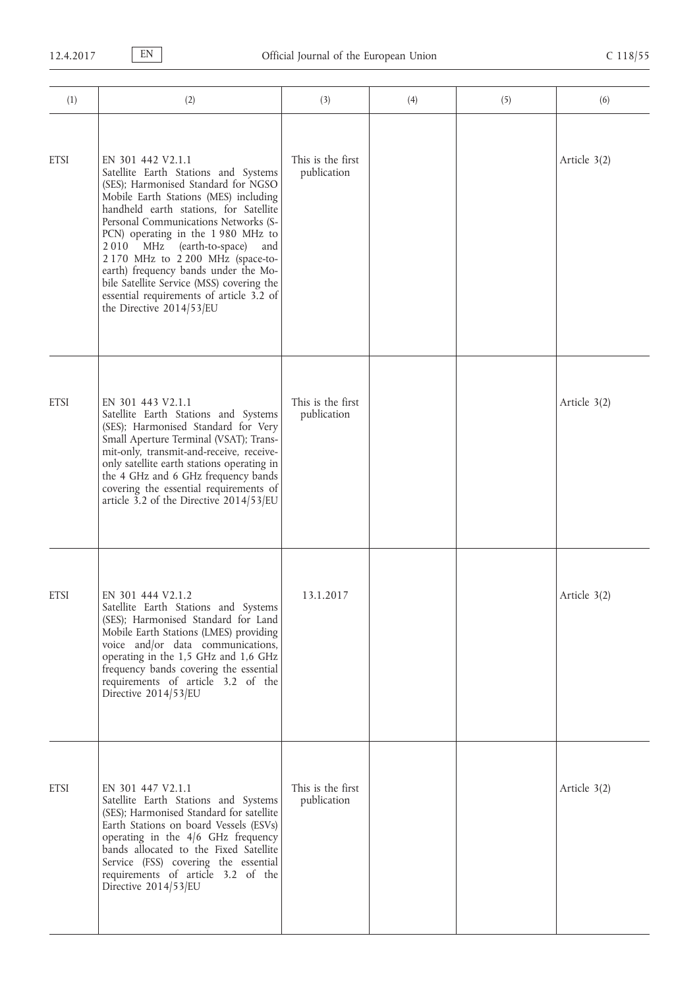| (1)         | (2)                                                                                                                                                                                                                                                                                                                                                                                                                                                                                                         | (3)                              | (4) | (5) | (6)            |
|-------------|-------------------------------------------------------------------------------------------------------------------------------------------------------------------------------------------------------------------------------------------------------------------------------------------------------------------------------------------------------------------------------------------------------------------------------------------------------------------------------------------------------------|----------------------------------|-----|-----|----------------|
| <b>ETSI</b> | EN 301 442 V2.1.1<br>Satellite Earth Stations and Systems<br>(SES); Harmonised Standard for NGSO<br>Mobile Earth Stations (MES) including<br>handheld earth stations, for Satellite<br>Personal Communications Networks (S-<br>PCN) operating in the 1980 MHz to<br>2010 MHz<br>(earth-to-space)<br>and<br>2 170 MHz to 2 200 MHz (space-to-<br>earth) frequency bands under the Mo-<br>bile Satellite Service (MSS) covering the<br>essential requirements of article 3.2 of<br>the Directive $2014/53/EU$ | This is the first<br>publication |     |     | Article 3(2)   |
| <b>ETSI</b> | EN 301 443 V2.1.1<br>Satellite Earth Stations and Systems<br>(SES); Harmonised Standard for Very<br>Small Aperture Terminal (VSAT); Trans-<br>mit-only, transmit-and-receive, receive-<br>only satellite earth stations operating in<br>the 4 GHz and 6 GHz frequency bands<br>covering the essential requirements of<br>article 3.2 of the Directive 2014/53/EU                                                                                                                                            | This is the first<br>publication |     |     | Article 3(2)   |
| <b>ETSI</b> | EN 301 444 V2.1.2<br>Satellite Earth Stations and Systems<br>(SES); Harmonised Standard for Land<br>Mobile Earth Stations (LMES) providing<br>voice and/or data communications,<br>operating in the 1,5 GHz and 1,6 GHz<br>frequency bands covering the essential<br>requirements of article 3.2 of the<br>Directive 2014/53/EU                                                                                                                                                                             | 13.1.2017                        |     |     | Article 3(2)   |
| <b>ETSI</b> | EN 301 447 V2.1.1<br>Satellite Earth Stations and Systems<br>(SES); Harmonised Standard for satellite<br>Earth Stations on board Vessels (ESVs)<br>operating in the 4/6 GHz frequency<br>bands allocated to the Fixed Satellite<br>Service (FSS) covering the essential<br>requirements of article 3.2 of the<br>Directive 2014/53/EU                                                                                                                                                                       | This is the first<br>publication |     |     | Article $3(2)$ |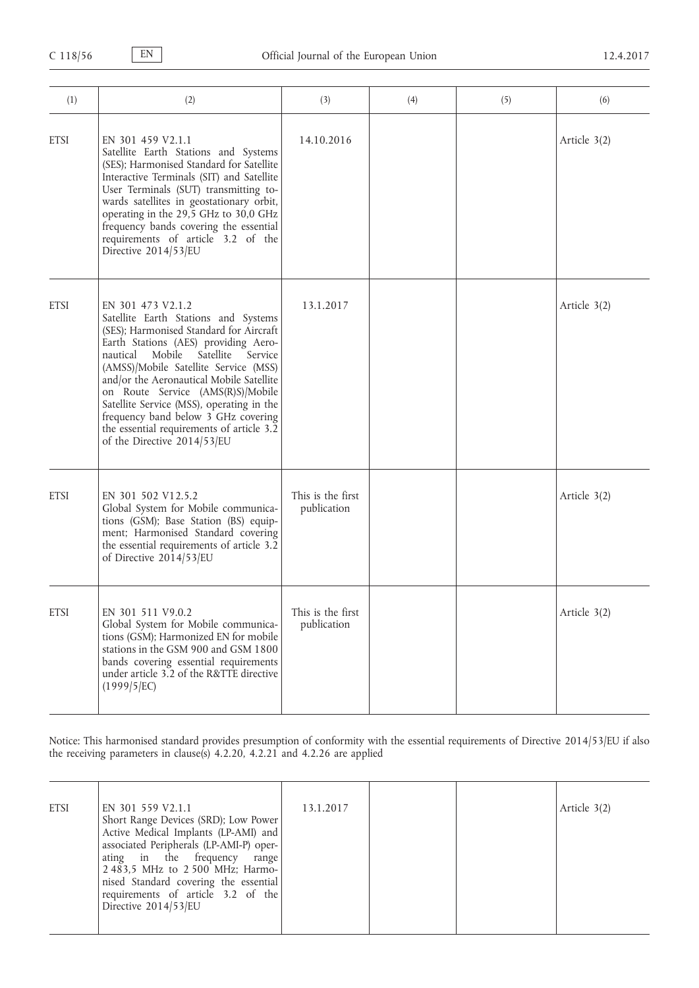| (1)         | (2)                                                                                                                                                                                                                                                                                                                                                                                                                                                                                  | (3)                              | (4) | (5) | (6)            |
|-------------|--------------------------------------------------------------------------------------------------------------------------------------------------------------------------------------------------------------------------------------------------------------------------------------------------------------------------------------------------------------------------------------------------------------------------------------------------------------------------------------|----------------------------------|-----|-----|----------------|
| <b>ETSI</b> | EN 301 459 V2.1.1<br>Satellite Earth Stations and Systems<br>(SES); Harmonised Standard for Satellite<br>Interactive Terminals (SIT) and Satellite<br>User Terminals (SUT) transmitting to-<br>wards satellites in geostationary orbit,<br>operating in the 29,5 GHz to 30,0 GHz<br>frequency bands covering the essential<br>requirements of article 3.2 of the<br>Directive 2014/53/EU                                                                                             | 14.10.2016                       |     |     | Article $3(2)$ |
| <b>ETSI</b> | EN 301 473 V2.1.2<br>Satellite Earth Stations and Systems<br>(SES); Harmonised Standard for Aircraft<br>Earth Stations (AES) providing Aero-<br>Mobile<br>Satellite<br>nautical<br>Service<br>(AMSS)/Mobile Satellite Service (MSS)<br>and/or the Aeronautical Mobile Satellite<br>on Route Service (AMS(R)S)/Mobile<br>Satellite Service (MSS), operating in the<br>frequency band below 3 GHz covering<br>the essential requirements of article 3.2<br>of the Directive 2014/53/EU | 13.1.2017                        |     |     | Article 3(2)   |
| <b>ETSI</b> | EN 301 502 V12.5.2<br>Global System for Mobile communica-<br>tions (GSM); Base Station (BS) equip-<br>ment; Harmonised Standard covering<br>the essential requirements of article 3.2<br>of Directive 2014/53/EU                                                                                                                                                                                                                                                                     | This is the first<br>publication |     |     | Article 3(2)   |
| <b>ETSI</b> | EN 301 511 V9.0.2<br>Global System for Mobile communica-<br>tions (GSM); Harmonized EN for mobile<br>stations in the GSM 900 and GSM 1800<br>bands covering essential requirements<br>under article 3.2 of the R&TTE directive<br>(1999/5/EC)                                                                                                                                                                                                                                        | This is the first<br>publication |     |     | Article 3(2)   |

Notice: This harmonised standard provides presumption of conformity with the essential requirements of Directive 2014/53/EU if also the receiving parameters in clause(s) 4.2.20, 4.2.21 and 4.2.26 are applied

| Article 3(2)<br><b>ETSI</b><br>EN 301 559 V2.1.1<br>13.1.2017<br>Short Range Devices (SRD); Low Power<br>Active Medical Implants (LP-AMI) and<br>associated Peripherals (LP-AMI-P) oper-<br>ating in the frequency<br>range  <br>2 483,5 MHz to 2 500 MHz; Harmo-<br>nised Standard covering the essential<br>requirements of article 3.2 of the<br>Directive 2014/53/EU |  |
|--------------------------------------------------------------------------------------------------------------------------------------------------------------------------------------------------------------------------------------------------------------------------------------------------------------------------------------------------------------------------|--|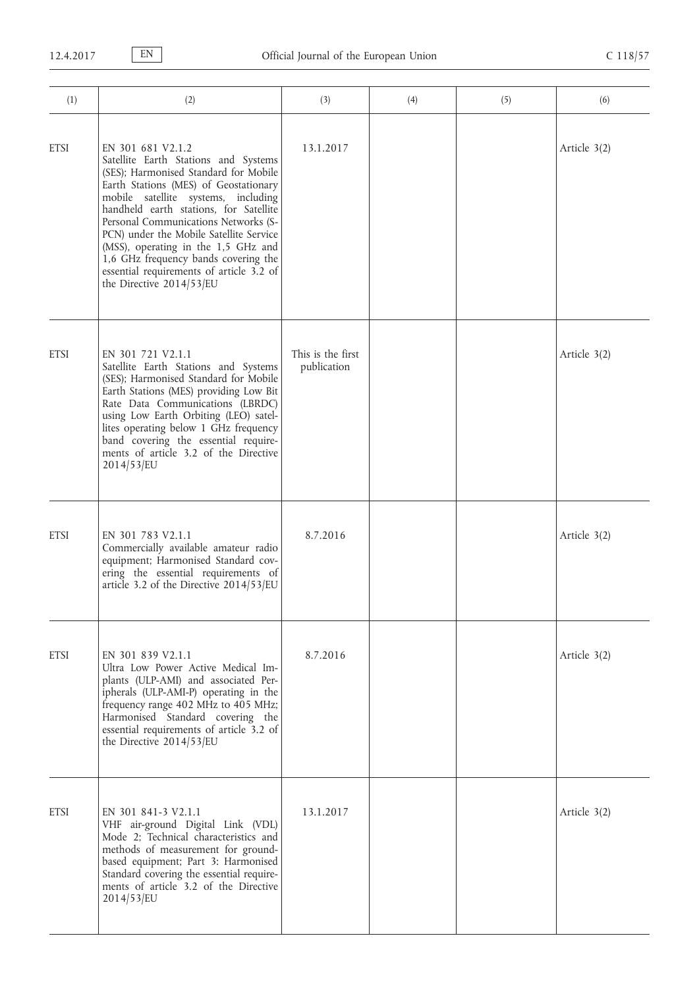| (1)         | (2)                                                                                                                                                                                                                                                                                                                                                                                                                                                                    | (3)                              | (4) | (5) | (6)          |
|-------------|------------------------------------------------------------------------------------------------------------------------------------------------------------------------------------------------------------------------------------------------------------------------------------------------------------------------------------------------------------------------------------------------------------------------------------------------------------------------|----------------------------------|-----|-----|--------------|
| <b>ETSI</b> | EN 301 681 V2.1.2<br>Satellite Earth Stations and Systems<br>(SES); Harmonised Standard for Mobile<br>Earth Stations (MES) of Geostationary<br>mobile satellite systems, including<br>handheld earth stations, for Satellite<br>Personal Communications Networks (S-<br>PCN) under the Mobile Satellite Service<br>(MSS), operating in the 1,5 GHz and<br>1,6 GHz frequency bands covering the<br>essential requirements of article 3.2 of<br>the Directive 2014/53/EU | 13.1.2017                        |     |     | Article 3(2) |
| <b>ETSI</b> | EN 301 721 V2.1.1<br>Satellite Earth Stations and Systems<br>(SES); Harmonised Standard for Mobile<br>Earth Stations (MES) providing Low Bit<br>Rate Data Communications (LBRDC)<br>using Low Earth Orbiting (LEO) satel-<br>lites operating below 1 GHz frequency<br>band covering the essential require-<br>ments of article 3.2 of the Directive<br>2014/53/EU                                                                                                      | This is the first<br>publication |     |     | Article 3(2) |
| <b>ETSI</b> | EN 301 783 V2.1.1<br>Commercially available amateur radio<br>equipment; Harmonised Standard cov-<br>ering the essential requirements of<br>article 3.2 of the Directive 2014/53/EU                                                                                                                                                                                                                                                                                     | 8.7.2016                         |     |     | Article 3(2) |
| <b>ETSI</b> | EN 301 839 V2.1.1<br>Ultra Low Power Active Medical Im-<br>plants (ULP-AMI) and associated Per-<br>ipherals (ULP-AMI-P) operating in the<br>frequency range 402 MHz to 405 MHz;<br>Harmonised Standard covering the<br>essential requirements of article 3.2 of<br>the Directive 2014/53/EU                                                                                                                                                                            | 8.7.2016                         |     |     | Article 3(2) |
| <b>ETSI</b> | EN 301 841-3 V2.1.1<br>VHF air-ground Digital Link (VDL)<br>Mode 2; Technical characteristics and<br>methods of measurement for ground-<br>based equipment; Part 3: Harmonised<br>Standard covering the essential require-<br>ments of article 3.2 of the Directive<br>2014/53/EU                                                                                                                                                                                      | 13.1.2017                        |     |     | Article 3(2) |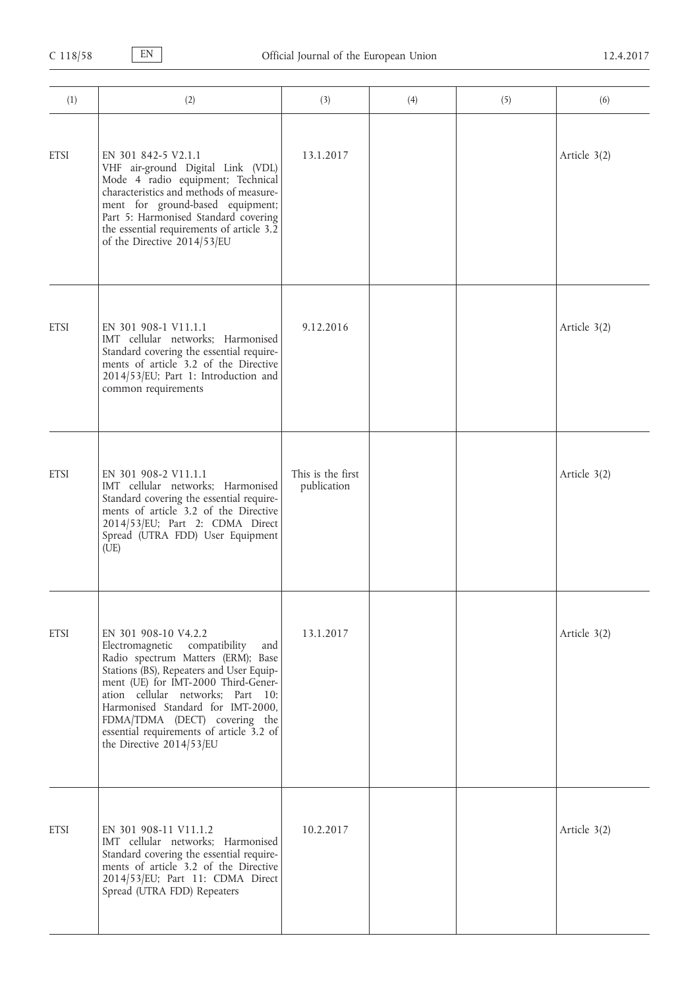| (1)         | (2)                                                                                                                                                                                                                                                                                                                                                                         | (3)                              | (4) | (5) | (6)          |
|-------------|-----------------------------------------------------------------------------------------------------------------------------------------------------------------------------------------------------------------------------------------------------------------------------------------------------------------------------------------------------------------------------|----------------------------------|-----|-----|--------------|
| <b>ETSI</b> | EN 301 842-5 V2.1.1<br>VHF air-ground Digital Link (VDL)<br>Mode 4 radio equipment; Technical<br>characteristics and methods of measure-<br>ment for ground-based equipment;<br>Part 5: Harmonised Standard covering<br>the essential requirements of article 3.2<br>of the Directive 2014/53/EU                                                                            | 13.1.2017                        |     |     | Article 3(2) |
| <b>ETSI</b> | EN 301 908-1 V11.1.1<br>IMT cellular networks; Harmonised<br>Standard covering the essential require-<br>ments of article 3.2 of the Directive<br>2014/53/EU; Part 1: Introduction and<br>common requirements                                                                                                                                                               | 9.12.2016                        |     |     | Article 3(2) |
| <b>ETSI</b> | EN 301 908-2 V11.1.1<br>IMT cellular networks; Harmonised<br>Standard covering the essential require-<br>ments of article 3.2 of the Directive<br>2014/53/EU; Part 2: CDMA Direct<br>Spread (UTRA FDD) User Equipment<br>(UE)                                                                                                                                               | This is the first<br>publication |     |     | Article 3(2) |
| <b>ETSI</b> | EN 301 908-10 V4.2.2<br>compatibility<br>Electromagnetic<br>and<br>Radio spectrum Matters (ERM); Base<br>Stations (BS), Repeaters and User Equip-<br>ment (UE) for IMT-2000 Third-Gener-<br>ation cellular networks; Part 10:<br>Harmonised Standard for IMT-2000,<br>FDMA/TDMA (DECT) covering the<br>essential requirements of article 3.2 of<br>the Directive 2014/53/EU | 13.1.2017                        |     |     | Article 3(2) |
| <b>ETSI</b> | EN 301 908-11 V11.1.2<br>IMT cellular networks; Harmonised<br>Standard covering the essential require-<br>ments of article 3.2 of the Directive<br>2014/53/EU; Part 11: CDMA Direct<br>Spread (UTRA FDD) Repeaters                                                                                                                                                          | 10.2.2017                        |     |     | Article 3(2) |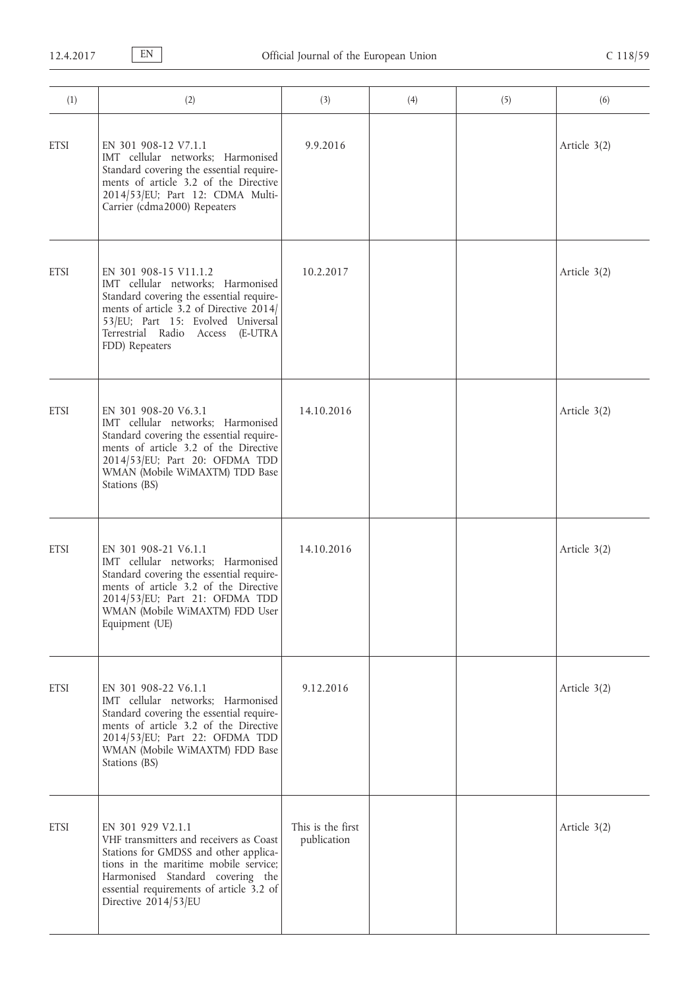| (1)         | (2)                                                                                                                                                                                                                                                    | (3)                              | (4) | (5) | (6)          |
|-------------|--------------------------------------------------------------------------------------------------------------------------------------------------------------------------------------------------------------------------------------------------------|----------------------------------|-----|-----|--------------|
| <b>ETSI</b> | EN 301 908-12 V7.1.1<br>IMT cellular networks; Harmonised<br>Standard covering the essential require-<br>ments of article 3.2 of the Directive<br>2014/53/EU; Part 12: CDMA Multi-<br>Carrier (cdma2000) Repeaters                                     | 9.9.2016                         |     |     | Article 3(2) |
| <b>ETSI</b> | EN 301 908-15 V11.1.2<br>IMT cellular networks; Harmonised<br>Standard covering the essential require-<br>ments of article 3.2 of Directive 2014/<br>53/EU; Part 15: Evolved Universal<br>Terrestrial Radio Access<br>(E-UTRA<br>FDD) Repeaters        | 10.2.2017                        |     |     | Article 3(2) |
| <b>ETSI</b> | EN 301 908-20 V6.3.1<br>IMT cellular networks; Harmonised<br>Standard covering the essential require-<br>ments of article 3.2 of the Directive<br>2014/53/EU; Part 20: OFDMA TDD<br>WMAN (Mobile WiMAXTM) TDD Base<br>Stations (BS)                    | 14.10.2016                       |     |     | Article 3(2) |
| <b>ETSI</b> | EN 301 908-21 V6.1.1<br>IMT cellular networks; Harmonised<br>Standard covering the essential require-<br>ments of article 3.2 of the Directive<br>2014/53/EU; Part 21: OFDMA TDD<br>WMAN (Mobile WiMAXTM) FDD User<br>Equipment (UE)                   | 14.10.2016                       |     |     | Article 3(2) |
| <b>ETSI</b> | EN 301 908-22 V6.1.1<br>IMT cellular networks; Harmonised<br>Standard covering the essential require-<br>ments of article 3.2 of the Directive<br>2014/53/EU; Part 22: OFDMA TDD<br>WMAN (Mobile WiMAXTM) FDD Base<br>Stations (BS)                    | 9.12.2016                        |     |     | Article 3(2) |
| <b>ETSI</b> | EN 301 929 V2.1.1<br>VHF transmitters and receivers as Coast<br>Stations for GMDSS and other applica-<br>tions in the maritime mobile service;<br>Harmonised Standard covering the<br>essential requirements of article 3.2 of<br>Directive 2014/53/EU | This is the first<br>publication |     |     | Article 3(2) |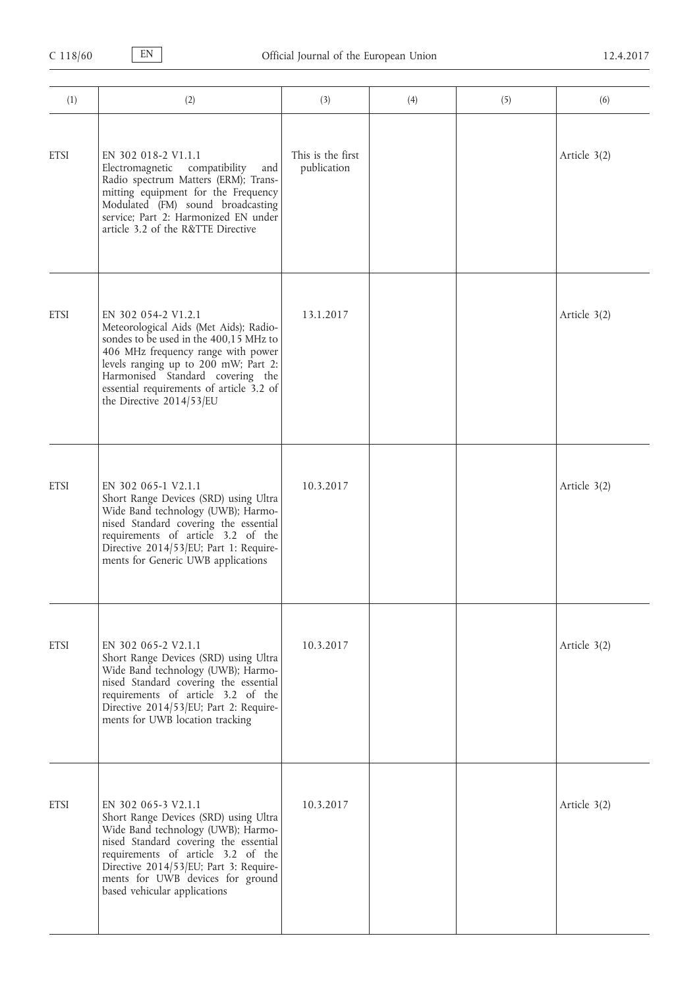| (1)         | (2)                                                                                                                                                                                                                                                                                               | (3)                              | (4) | (5) | (6)          |
|-------------|---------------------------------------------------------------------------------------------------------------------------------------------------------------------------------------------------------------------------------------------------------------------------------------------------|----------------------------------|-----|-----|--------------|
| <b>ETSI</b> | EN 302 018-2 V1.1.1<br>Electromagnetic compatibility<br>and<br>Radio spectrum Matters (ERM); Trans-<br>mitting equipment for the Frequency<br>Modulated (FM) sound broadcasting<br>service; Part 2: Harmonized EN under<br>article 3.2 of the R&TTE Directive                                     | This is the first<br>publication |     |     | Article 3(2) |
| <b>ETSI</b> | EN 302 054-2 V1.2.1<br>Meteorological Aids (Met Aids); Radio-<br>sondes to be used in the 400,15 MHz to<br>406 MHz frequency range with power<br>levels ranging up to 200 mW; Part 2:<br>Harmonised Standard covering the<br>essential requirements of article 3.2 of<br>the Directive 2014/53/EU | 13.1.2017                        |     |     | Article 3(2) |
| <b>ETSI</b> | EN 302 065-1 V2.1.1<br>Short Range Devices (SRD) using Ultra<br>Wide Band technology (UWB); Harmo-<br>nised Standard covering the essential<br>requirements of article 3.2 of the<br>Directive 2014/53/EU; Part 1: Require-<br>ments for Generic UWB applications                                 | 10.3.2017                        |     |     | Article 3(2) |
| <b>ETSI</b> | EN 302 065-2 V2.1.1<br>Short Range Devices (SRD) using Ultra<br>Wide Band technology (UWB); Harmo-<br>nised Standard covering the essential<br>requirements of article 3.2 of the<br>Directive 2014/53/EU; Part 2: Require-<br>ments for UWB location tracking                                    | 10.3.2017                        |     |     | Article 3(2) |
| <b>ETSI</b> | EN 302 065-3 V2.1.1<br>Short Range Devices (SRD) using Ultra<br>Wide Band technology (UWB); Harmo-<br>nised Standard covering the essential<br>requirements of article 3.2 of the<br>Directive 2014/53/EU; Part 3: Require-<br>ments for UWB devices for ground<br>based vehicular applications   | 10.3.2017                        |     |     | Article 3(2) |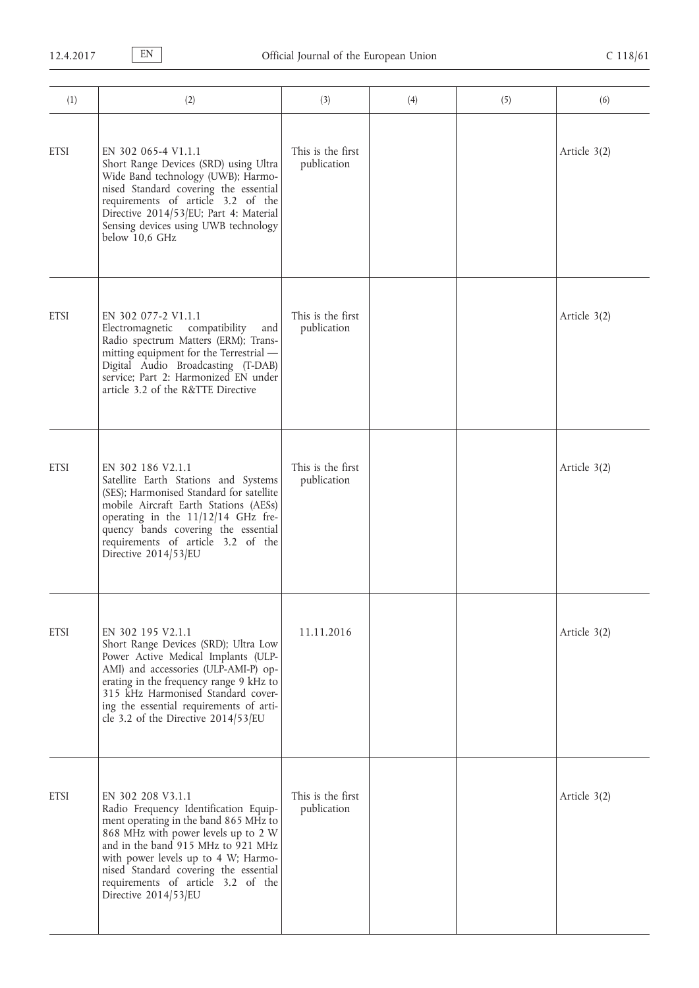| (1)         | (2)                                                                                                                                                                                                                                                                                                                            | (3)                              | (4) | (5) | (6)          |
|-------------|--------------------------------------------------------------------------------------------------------------------------------------------------------------------------------------------------------------------------------------------------------------------------------------------------------------------------------|----------------------------------|-----|-----|--------------|
| <b>ETSI</b> | EN 302 065-4 V1.1.1<br>Short Range Devices (SRD) using Ultra<br>Wide Band technology (UWB); Harmo-<br>nised Standard covering the essential<br>requirements of article 3.2 of the<br>Directive 2014/53/EU; Part 4: Material<br>Sensing devices using UWB technology<br>below 10,6 GHz                                          | This is the first<br>publication |     |     | Article 3(2) |
| <b>ETSI</b> | EN 302 077-2 V1.1.1<br>compatibility<br>Electromagnetic<br>and<br>Radio spectrum Matters (ERM); Trans-<br>mitting equipment for the Terrestrial -<br>Digital Audio Broadcasting (T-DAB)<br>service; Part 2: Harmonized EN under<br>article 3.2 of the R&TTE Directive                                                          | This is the first<br>publication |     |     | Article 3(2) |
| <b>ETSI</b> | EN 302 186 V2.1.1<br>Satellite Earth Stations and Systems<br>(SES); Harmonised Standard for satellite<br>mobile Aircraft Earth Stations (AESs)<br>operating in the $11/12/14$ GHz fre-<br>quency bands covering the essential<br>requirements of article 3.2 of the<br>Directive 2014/53/EU                                    | This is the first<br>publication |     |     | Article 3(2) |
| <b>ETSI</b> | EN 302 195 V2.1.1<br>Short Range Devices (SRD); Ultra Low<br>Power Active Medical Implants (ULP-<br>AMI) and accessories (ULP-AMI-P) op-<br>erating in the frequency range 9 kHz to<br>315 kHz Harmonised Standard cover-<br>ing the essential requirements of arti-<br>cle 3.2 of the Directive 2014/53/EU                    | 11.11.2016                       |     |     | Article 3(2) |
| <b>ETSI</b> | EN 302 208 V3.1.1<br>Radio Frequency Identification Equip-<br>ment operating in the band 865 MHz to<br>868 MHz with power levels up to 2 W<br>and in the band 915 MHz to 921 MHz<br>with power levels up to 4 W; Harmo-<br>nised Standard covering the essential<br>requirements of article 3.2 of the<br>Directive 2014/53/EU | This is the first<br>publication |     |     | Article 3(2) |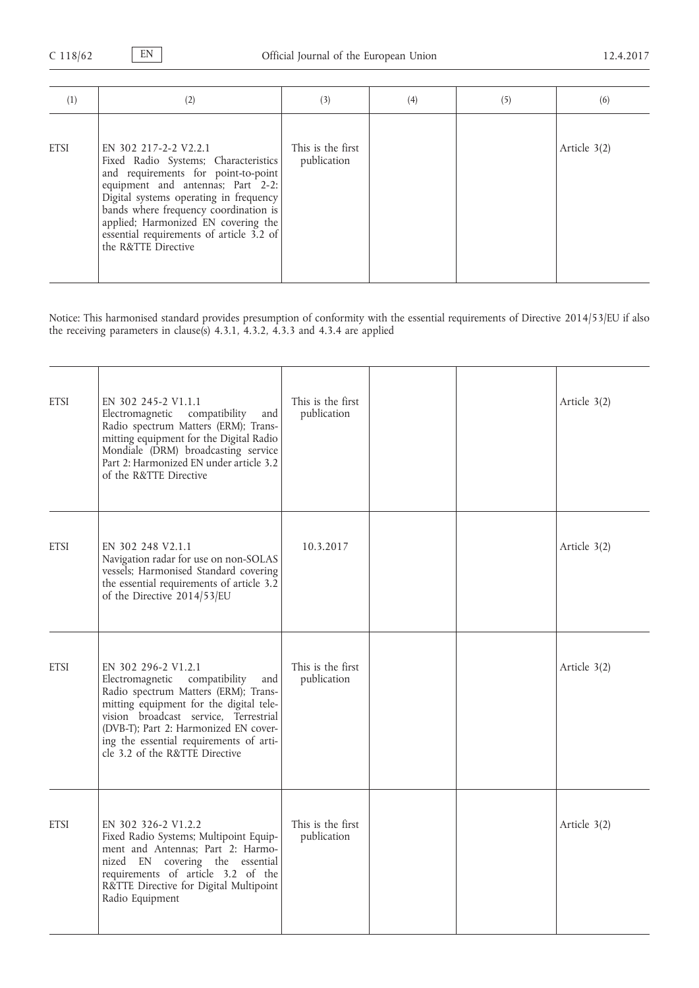| (1)         | (2)                                                                                                                                                                                                                                                                                                                                    | (3)                              | (4) | (5) | (6)            |
|-------------|----------------------------------------------------------------------------------------------------------------------------------------------------------------------------------------------------------------------------------------------------------------------------------------------------------------------------------------|----------------------------------|-----|-----|----------------|
| <b>ETSI</b> | EN 302 217-2-2 V2.2.1<br>Fixed Radio Systems; Characteristics<br>and requirements for point-to-point<br>equipment and antennas; Part 2-2:<br>Digital systems operating in frequency<br>bands where frequency coordination is<br>applied; Harmonized EN covering the<br>essential requirements of article 3.2 of<br>the R&TTE Directive | This is the first<br>publication |     |     | Article $3(2)$ |

Notice: This harmonised standard provides presumption of conformity with the essential requirements of Directive 2014/53/EU if also the receiving parameters in clause(s) 4.3.1, 4.3.2, 4.3.3 and 4.3.4 are applied

| <b>ETSI</b> | EN 302 245-2 V1.1.1<br>compatibility<br>Electromagnetic<br>and<br>Radio spectrum Matters (ERM); Trans-<br>mitting equipment for the Digital Radio<br>Mondiale (DRM) broadcasting service<br>Part 2: Harmonized EN under article 3.2<br>of the R&TTE Directive                                                    | This is the first<br>publication |  | Article 3(2) |
|-------------|------------------------------------------------------------------------------------------------------------------------------------------------------------------------------------------------------------------------------------------------------------------------------------------------------------------|----------------------------------|--|--------------|
| <b>ETSI</b> | EN 302 248 V2.1.1<br>Navigation radar for use on non-SOLAS<br>vessels; Harmonised Standard covering<br>the essential requirements of article 3.2<br>of the Directive 2014/53/EU                                                                                                                                  | 10.3.2017                        |  | Article 3(2) |
| <b>ETSI</b> | EN 302 296-2 V1.2.1<br>compatibility<br>Electromagnetic<br>and<br>Radio spectrum Matters (ERM); Trans-<br>mitting equipment for the digital tele-<br>vision broadcast service, Terrestrial<br>(DVB-T); Part 2: Harmonized EN cover-<br>ing the essential requirements of arti-<br>cle 3.2 of the R&TTE Directive | This is the first<br>publication |  | Article 3(2) |
| <b>ETSI</b> | EN 302 326-2 V1.2.2<br>Fixed Radio Systems; Multipoint Equip-<br>ment and Antennas; Part 2: Harmo-<br>nized EN covering the essential<br>requirements of article 3.2 of the<br>R&TTE Directive for Digital Multipoint<br>Radio Equipment                                                                         | This is the first<br>publication |  | Article 3(2) |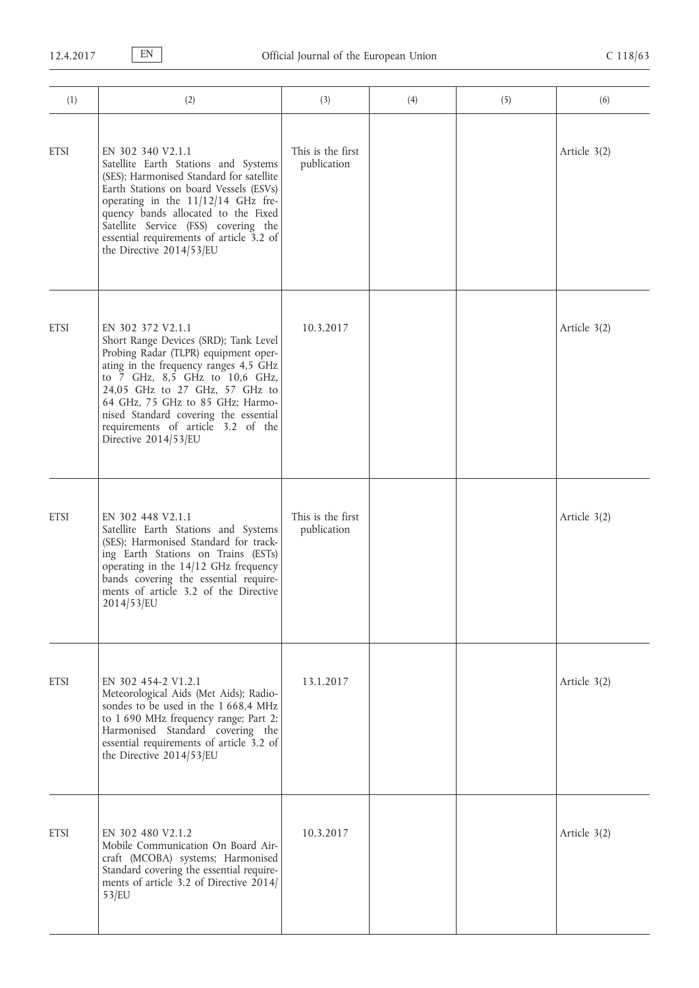| (1)         | (2)                                                                                                                                                                                                                                                                                                                                                        | (3)                              | (4) | (5) | (6)            |
|-------------|------------------------------------------------------------------------------------------------------------------------------------------------------------------------------------------------------------------------------------------------------------------------------------------------------------------------------------------------------------|----------------------------------|-----|-----|----------------|
| <b>ETSI</b> | EN 302 340 V2.1.1<br>Satellite Earth Stations and Systems<br>(SES); Harmonised Standard for satellite<br>Earth Stations on board Vessels (ESVs)<br>operating in the 11/12/14 GHz fre-<br>quency bands allocated to the Fixed<br>Satellite Service (FSS) covering the<br>essential requirements of article 3.2 of<br>the Directive 2014/53/EU               | This is the first<br>publication |     |     | Article $3(2)$ |
| <b>ETSI</b> | EN 302 372 V2.1.1<br>Short Range Devices (SRD); Tank Level<br>Probing Radar (TLPR) equipment oper-<br>ating in the frequency ranges 4,5 GHz<br>to 7 GHz, 8,5 GHz to 10,6 GHz,<br>24,05 GHz to 27 GHz, 57 GHz to<br>64 GHz, 75 GHz to 85 GHz; Harmo-<br>nised Standard covering the essential<br>requirements of article 3.2 of the<br>Directive 2014/53/EU | 10.3.2017                        |     |     | Article 3(2)   |
| <b>ETSI</b> | EN 302 448 V2.1.1<br>Satellite Earth Stations and Systems<br>(SES); Harmonised Standard for track-<br>ing Earth Stations on Trains (ESTs)<br>operating in the $14/12$ GHz frequency<br>bands covering the essential require-<br>ments of article 3.2 of the Directive<br>2014/53/EU                                                                        | This is the first<br>publication |     |     | Article $3(2)$ |
| <b>ETSI</b> | EN 302 454-2 V1.2.1<br>Meteorological Aids (Met Aids); Radio-<br>sondes to be used in the 1 668,4 MHz<br>to 1 690 MHz frequency range; Part 2:<br>Harmonised Standard covering the<br>essential requirements of article 3.2 of<br>the Directive 2014/53/EU                                                                                                 | 13.1.2017                        |     |     | Article 3(2)   |
| <b>ETSI</b> | EN 302 480 V2.1.2<br>Mobile Communication On Board Air-<br>craft (MCOBA) systems; Harmonised<br>Standard covering the essential require-<br>ments of article 3.2 of Directive 2014/<br>53/EU                                                                                                                                                               | 10.3.2017                        |     |     | Article 3(2)   |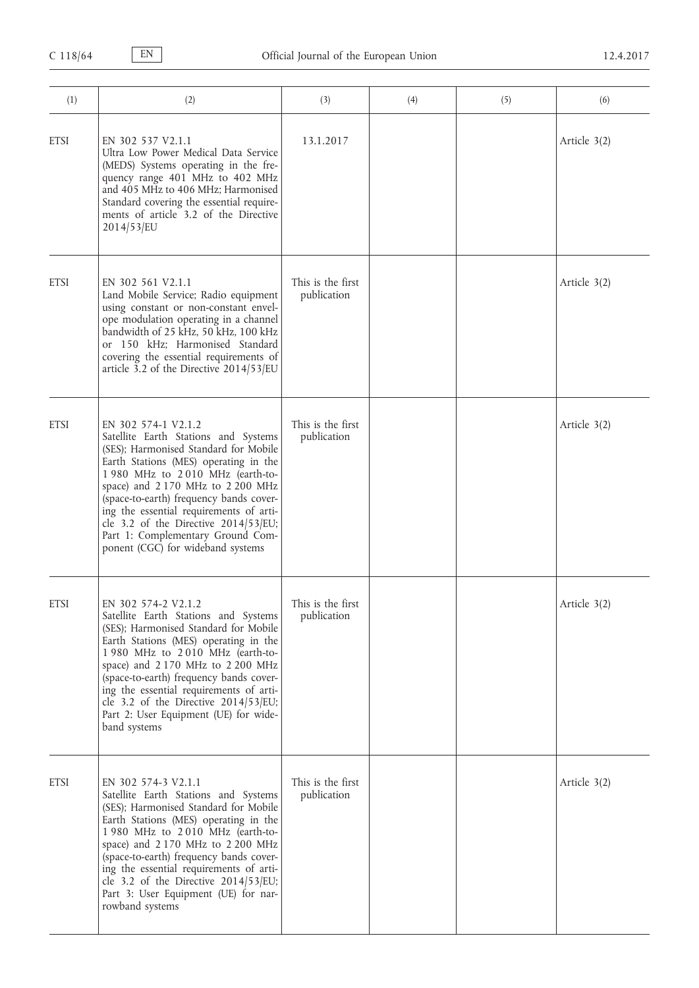| (1)         | (2)                                                                                                                                                                                                                                                                                                                                                                                                                         | (3)                              | (4) | (5) | (6)            |
|-------------|-----------------------------------------------------------------------------------------------------------------------------------------------------------------------------------------------------------------------------------------------------------------------------------------------------------------------------------------------------------------------------------------------------------------------------|----------------------------------|-----|-----|----------------|
| <b>ETSI</b> | EN 302 537 V2.1.1<br>Ultra Low Power Medical Data Service<br>(MEDS) Systems operating in the fre-<br>quency range 401 MHz to 402 MHz<br>and 405 MHz to 406 MHz; Harmonised<br>Standard covering the essential require-<br>ments of article 3.2 of the Directive<br>2014/53/EU                                                                                                                                               | 13.1.2017                        |     |     | Article 3(2)   |
| <b>ETSI</b> | EN 302 561 V2.1.1<br>Land Mobile Service; Radio equipment<br>using constant or non-constant envel-<br>ope modulation operating in a channel<br>bandwidth of 25 kHz, 50 kHz, 100 kHz<br>or 150 kHz; Harmonised Standard<br>covering the essential requirements of<br>article 3.2 of the Directive 2014/53/EU                                                                                                                 | This is the first<br>publication |     |     | Article 3(2)   |
| <b>ETSI</b> | EN 302 574-1 V2.1.2<br>Satellite Earth Stations and Systems<br>(SES); Harmonised Standard for Mobile<br>Earth Stations (MES) operating in the<br>1980 MHz to 2010 MHz (earth-to-<br>space) and 2170 MHz to 2200 MHz<br>(space-to-earth) frequency bands cover-<br>ing the essential requirements of arti-<br>cle 3.2 of the Directive 2014/53/EU;<br>Part 1: Complementary Ground Com-<br>ponent (CGC) for wideband systems | This is the first<br>publication |     |     | Article 3(2)   |
| <b>ETSI</b> | EN 302 574-2 V2.1.2<br>Satellite Earth Stations and Systems<br>(SES); Harmonised Standard for Mobile<br>Earth Stations (MES) operating in the<br>1980 MHz to 2010 MHz (earth-to-<br>space) and 2170 MHz to 2200 MHz<br>(space-to-earth) frequency bands cover-<br>ing the essential requirements of arti-<br>cle 3.2 of the Directive 2014/53/EU;<br>Part 2: User Equipment (UE) for wide-<br>band systems                  | This is the first<br>publication |     |     | Article $3(2)$ |
| <b>ETSI</b> | EN 302 574-3 V2.1.1<br>Satellite Earth Stations and Systems<br>(SES); Harmonised Standard for Mobile<br>Earth Stations (MES) operating in the<br>1980 MHz to 2010 MHz (earth-to-<br>space) and 2170 MHz to 2200 MHz<br>(space-to-earth) frequency bands cover-<br>ing the essential requirements of arti-<br>cle 3.2 of the Directive 2014/53/EU;<br>Part 3: User Equipment (UE) for nar-<br>rowband systems                | This is the first<br>publication |     |     | Article 3(2)   |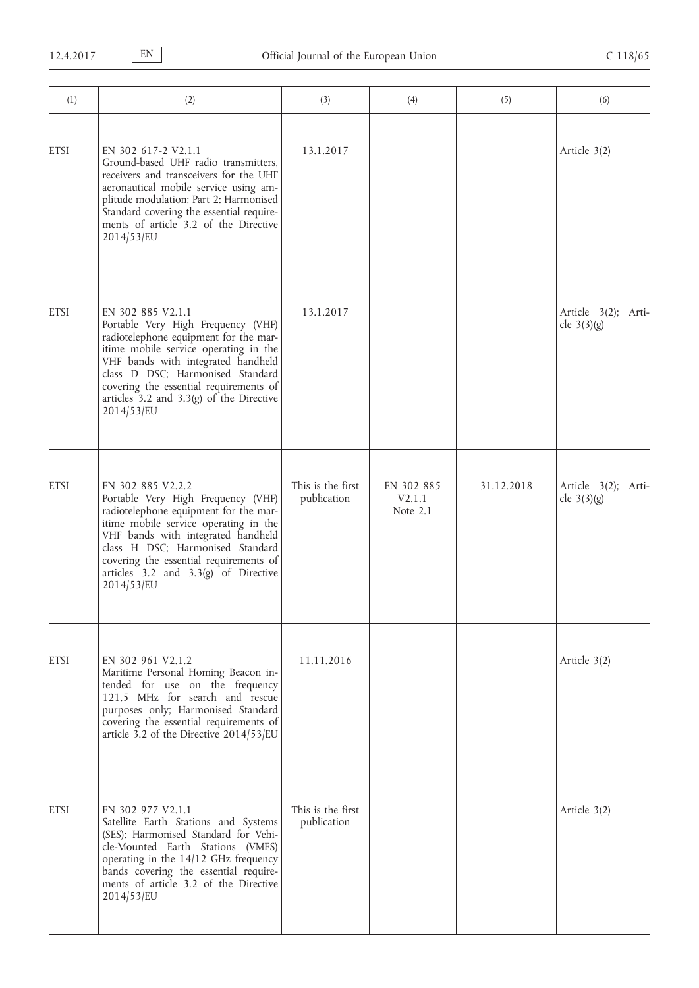| (1)         | (2)                                                                                                                                                                                                                                                                                                                         | (3)                              | (4)                              | (5)        | (6)                                  |
|-------------|-----------------------------------------------------------------------------------------------------------------------------------------------------------------------------------------------------------------------------------------------------------------------------------------------------------------------------|----------------------------------|----------------------------------|------------|--------------------------------------|
| <b>ETSI</b> | EN 302 617-2 V2.1.1<br>Ground-based UHF radio transmitters.<br>receivers and transceivers for the UHF<br>aeronautical mobile service using am-<br>plitude modulation; Part 2: Harmonised<br>Standard covering the essential require-<br>ments of article 3.2 of the Directive<br>2014/53/EU                                 | 13.1.2017                        |                                  |            | Article 3(2)                         |
| <b>ETSI</b> | EN 302 885 V2.1.1<br>Portable Very High Frequency (VHF)<br>radiotelephone equipment for the mar-<br>itime mobile service operating in the<br>VHF bands with integrated handheld<br>class D DSC; Harmonised Standard<br>covering the essential requirements of<br>articles $3.2$ and $3.3(g)$ of the Directive<br>2014/53/EU | 13.1.2017                        |                                  |            | Article 3(2); Arti-<br>cle $3(3)(g)$ |
| <b>ETSI</b> | EN 302 885 V2.2.2<br>Portable Very High Frequency (VHF)<br>radiotelephone equipment for the mar-<br>itime mobile service operating in the<br>VHF bands with integrated handheld<br>class H DSC; Harmonised Standard<br>covering the essential requirements of<br>articles $3.2$ and $3.3(g)$ of Directive<br>2014/53/EU     | This is the first<br>publication | EN 302 885<br>V2.1.1<br>Note 2.1 | 31.12.2018 | Article 3(2); Arti-<br>cle $3(3)(g)$ |
| <b>ETSI</b> | EN 302 961 V2.1.2<br>Maritime Personal Homing Beacon in-<br>tended for use on the frequency<br>121,5 MHz for search and rescue<br>purposes only; Harmonised Standard<br>covering the essential requirements of<br>article 3.2 of the Directive 2014/53/EU                                                                   | 11.11.2016                       |                                  |            | Article 3(2)                         |
| <b>ETSI</b> | EN 302 977 V2.1.1<br>Satellite Earth Stations and Systems<br>(SES); Harmonised Standard for Vehi-<br>cle-Mounted Earth Stations (VMES)<br>operating in the 14/12 GHz frequency<br>bands covering the essential require-<br>ments of article 3.2 of the Directive<br>2014/53/EU                                              | This is the first<br>publication |                                  |            | Article 3(2)                         |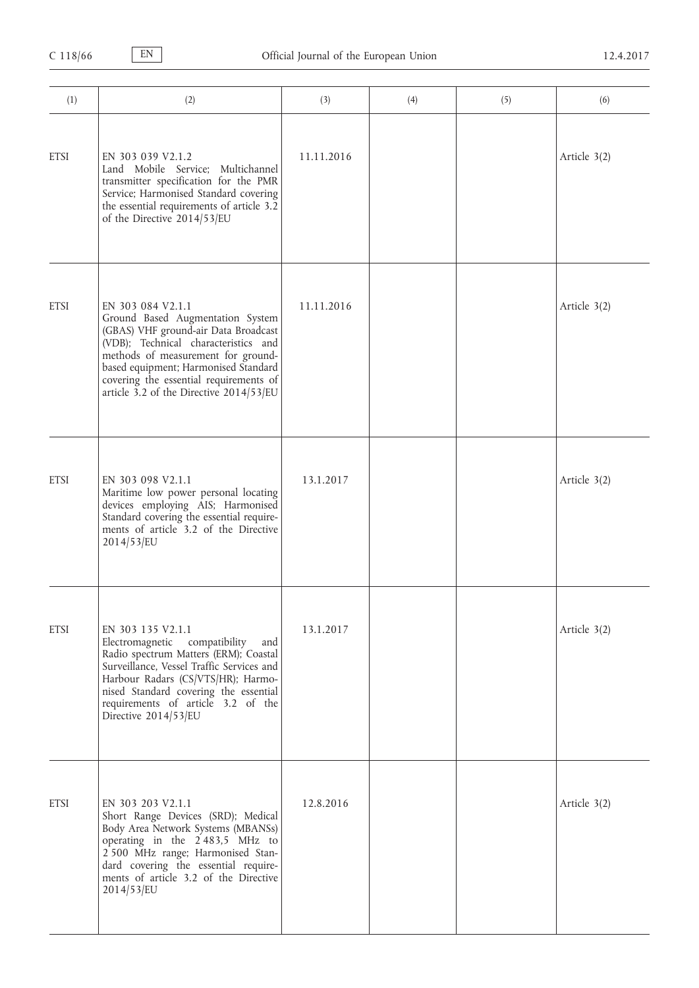| (1)         | (2)                                                                                                                                                                                                                                                                                                      | (3)        | (4) | (5) | (6)          |
|-------------|----------------------------------------------------------------------------------------------------------------------------------------------------------------------------------------------------------------------------------------------------------------------------------------------------------|------------|-----|-----|--------------|
| <b>ETSI</b> | EN 303 039 V2.1.2<br>Land Mobile Service; Multichannel<br>transmitter specification for the PMR<br>Service; Harmonised Standard covering<br>the essential requirements of article 3.2<br>of the Directive 2014/53/EU                                                                                     | 11.11.2016 |     |     | Article 3(2) |
| <b>ETSI</b> | EN 303 084 V2.1.1<br>Ground Based Augmentation System<br>(GBAS) VHF ground-air Data Broadcast<br>(VDB); Technical characteristics and<br>methods of measurement for ground-<br>based equipment; Harmonised Standard<br>covering the essential requirements of<br>article 3.2 of the Directive 2014/53/EU | 11.11.2016 |     |     | Article 3(2) |
| <b>ETSI</b> | EN 303 098 V2.1.1<br>Maritime low power personal locating<br>devices employing AIS; Harmonised<br>Standard covering the essential require-<br>ments of article 3.2 of the Directive<br>2014/53/EU                                                                                                        | 13.1.2017  |     |     | Article 3(2) |
| <b>ETSI</b> | EN 303 135 V2.1.1<br>Electromagnetic compatibility<br>and<br>Radio spectrum Matters (ERM); Coastal<br>Surveillance, Vessel Traffic Services and<br>Harbour Radars (CS/VTS/HR); Harmo-<br>nised Standard covering the essential<br>requirements of article 3.2 of the<br>Directive 2014/53/EU             | 13.1.2017  |     |     | Article 3(2) |
| <b>ETSI</b> | EN 303 203 V2.1.1<br>Short Range Devices (SRD); Medical<br>Body Area Network Systems (MBANSs)<br>operating in the 2483,5 MHz to<br>2 500 MHz range; Harmonised Stan-<br>dard covering the essential require-<br>ments of article 3.2 of the Directive<br>2014/53/EU                                      | 12.8.2016  |     |     | Article 3(2) |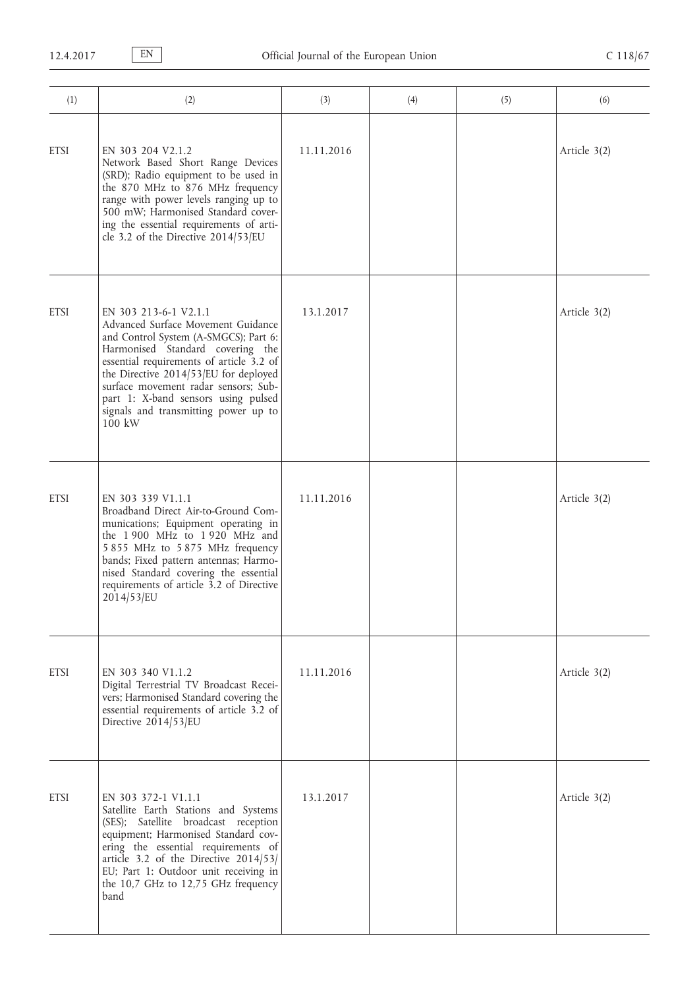| (1)         | (2)                                                                                                                                                                                                                                                                                                                                                              | (3)        | (4) | (5) | (6)            |
|-------------|------------------------------------------------------------------------------------------------------------------------------------------------------------------------------------------------------------------------------------------------------------------------------------------------------------------------------------------------------------------|------------|-----|-----|----------------|
| <b>ETSI</b> | EN 303 204 V2.1.2<br>Network Based Short Range Devices<br>(SRD); Radio equipment to be used in<br>the 870 MHz to 876 MHz frequency<br>range with power levels ranging up to<br>500 mW; Harmonised Standard cover-<br>ing the essential requirements of arti-<br>cle 3.2 of the Directive $2014/53/EU$                                                            | 11.11.2016 |     |     | Article 3(2)   |
| <b>ETSI</b> | EN 303 213-6-1 V2.1.1<br>Advanced Surface Movement Guidance<br>and Control System (A-SMGCS); Part 6:<br>Harmonised Standard covering the<br>essential requirements of article 3.2 of<br>the Directive 2014/53/EU for deployed<br>surface movement radar sensors; Sub-<br>part 1: X-band sensors using pulsed<br>signals and transmitting power up to<br>$100$ kW | 13.1.2017  |     |     | Article 3(2)   |
| <b>ETSI</b> | EN 303 339 V1.1.1<br>Broadband Direct Air-to-Ground Com-<br>munications; Equipment operating in<br>the 1900 MHz to 1920 MHz and<br>5 855 MHz to 5 875 MHz frequency<br>bands; Fixed pattern antennas; Harmo-<br>nised Standard covering the essential<br>requirements of article 3.2 of Directive<br>2014/53/EU                                                  | 11.11.2016 |     |     | Article 3(2)   |
| <b>ETSI</b> | EN 303 340 V1.1.2<br>Digital Terrestrial TV Broadcast Recei-<br>vers; Harmonised Standard covering the<br>essential requirements of article 3.2 of<br>Directive 2014/53/EU                                                                                                                                                                                       | 11.11.2016 |     |     | Article 3(2)   |
| <b>ETSI</b> | EN 303 372-1 V1.1.1<br>Satellite Earth Stations and Systems<br>(SES); Satellite broadcast reception<br>equipment; Harmonised Standard cov-<br>ering the essential requirements of<br>article 3.2 of the Directive 2014/53/<br>EU; Part 1: Outdoor unit receiving in<br>the 10,7 GHz to 12,75 GHz frequency<br>band                                               | 13.1.2017  |     |     | Article $3(2)$ |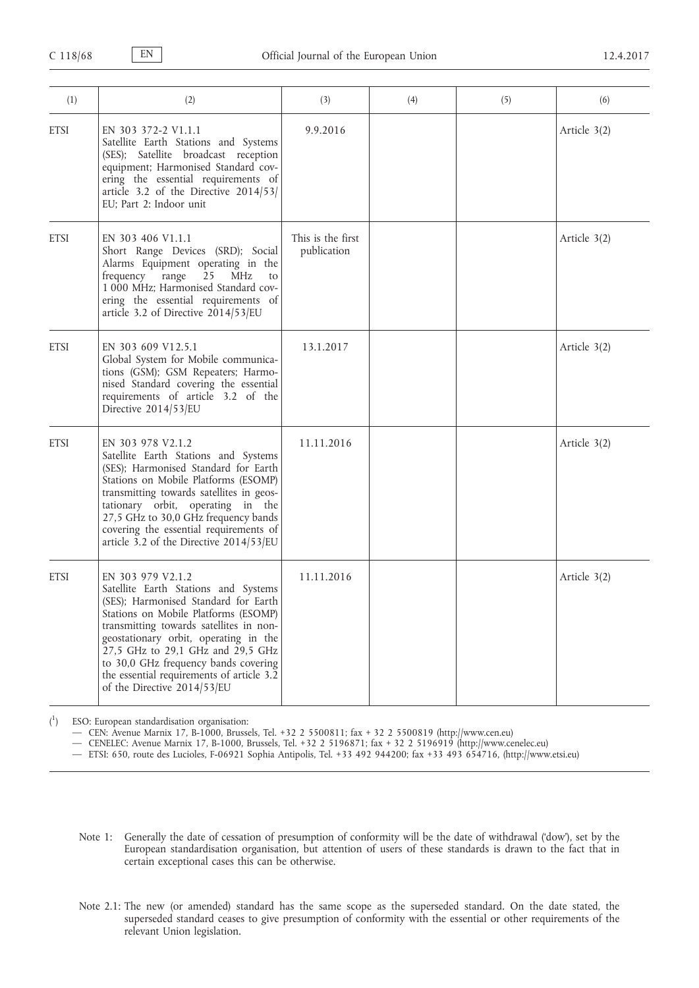| (1)         | (2)                                                                                                                                                                                                                                                                                                                                                                                    | (3)                              | (4) | (5) | (6)          |
|-------------|----------------------------------------------------------------------------------------------------------------------------------------------------------------------------------------------------------------------------------------------------------------------------------------------------------------------------------------------------------------------------------------|----------------------------------|-----|-----|--------------|
| <b>ETSI</b> | EN 303 372-2 V1.1.1<br>Satellite Earth Stations and Systems<br>(SES); Satellite broadcast reception<br>equipment; Harmonised Standard cov-<br>ering the essential requirements of<br>article 3.2 of the Directive 2014/53/<br>EU; Part 2: Indoor unit                                                                                                                                  | 9.9.2016                         |     |     | Article 3(2) |
| <b>ETSI</b> | EN 303 406 V1.1.1<br>Short Range Devices (SRD); Social<br>Alarms Equipment operating in the<br>range<br>frequency<br>25<br>MHz<br>to<br>1 000 MHz; Harmonised Standard cov-<br>ering the essential requirements of<br>article 3.2 of Directive 2014/53/EU                                                                                                                              | This is the first<br>publication |     |     | Article 3(2) |
| <b>ETSI</b> | EN 303 609 V12.5.1<br>Global System for Mobile communica-<br>tions (GSM); GSM Repeaters; Harmo-<br>nised Standard covering the essential<br>requirements of article 3.2 of the<br>Directive $2014/53/EU$                                                                                                                                                                               | 13.1.2017                        |     |     | Article 3(2) |
| <b>ETSI</b> | EN 303 978 V2.1.2<br>Satellite Earth Stations and Systems<br>(SES); Harmonised Standard for Earth<br>Stations on Mobile Platforms (ESOMP)<br>transmitting towards satellites in geos-<br>tationary orbit, operating in the<br>27,5 GHz to 30,0 GHz frequency bands<br>covering the essential requirements of<br>article 3.2 of the Directive 2014/53/EU                                | 11.11.2016                       |     |     | Article 3(2) |
| <b>ETSI</b> | EN 303 979 V2.1.2<br>Satellite Earth Stations and Systems<br>(SES); Harmonised Standard for Earth<br>Stations on Mobile Platforms (ESOMP)<br>transmitting towards satellites in non-<br>geostationary orbit, operating in the<br>27,5 GHz to 29,1 GHz and 29,5 GHz<br>to 30,0 GHz frequency bands covering<br>the essential requirements of article 3.2<br>of the Directive 2014/53/EU | 11.11.2016                       |     |     | Article 3(2) |

 $\binom{1}{1}$ ) ESO: European standardisation organisation:

— CEN: Avenue Marnix 17, B-1000, Brussels, Tel. +32 2 5500811; fax + 32 2 5500819 [\(http://www.cen.eu\)](http://www.cen.eu)

— CENELEC: Avenue Marnix 17, B-1000, Brussels, Tel. +32 2 5196871; fax + 32 2 5196919 ([http://www.cenelec.eu\)](http://www.cenelec.eu)

— ETSI: 650, route des Lucioles, F-06921 Sophia Antipolis, Tel. +33 492 944200; fax +33 493 654716, ([http://www.etsi.eu\)](http://www.etsi.eu)

- Note 1: Generally the date of cessation of presumption of conformity will be the date of withdrawal ('dow'), set by the European standardisation organisation, but attention of users of these standards is drawn to the fact that in certain exceptional cases this can be otherwise.
- Note 2.1: The new (or amended) standard has the same scope as the superseded standard. On the date stated, the superseded standard ceases to give presumption of conformity with the essential or other requirements of the relevant Union legislation.